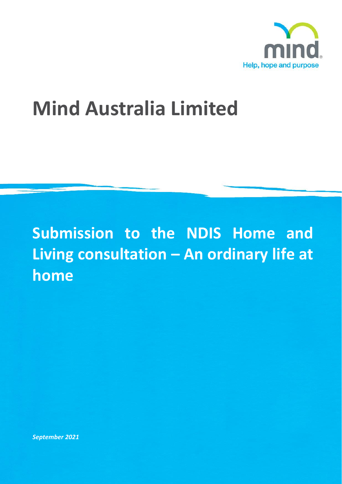

# **Mind Australia Limited**

## **Submission to the NDIS Home and Living consultation – An ordinary life at home**

*September 2021*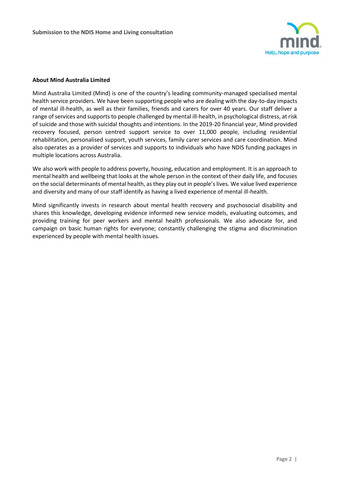

#### **About Mind Australia Limited**

Mind Australia Limited (Mind) is one of the country's leading community-managed specialised mental health service providers. We have been supporting people who are dealing with the day-to-day impacts of mental ill-health, as well as their families, friends and carers for over 40 years. Our staff deliver a range of services and supports to people challenged by mental ill-health, in psychological distress, at risk of suicide and those with suicidal thoughts and intentions. In the 2019-20 financial year, Mind provided recovery focused, person centred support service to over 11,000 people, including residential rehabilitation, personalised support, youth services, family carer services and care coordination. Mind also operates as a provider of services and supports to individuals who have NDIS funding packages in multiple locations across Australia.

We also work with people to address poverty, housing, education and employment. It is an approach to mental health and wellbeing that looks at the whole person in the context of their daily life, and focuses on the social determinants of mental health, as they play out in people's lives. We value lived experience and diversity and many of our staff identify as having a lived experience of mental ill-health.

Mind significantly invests in research about mental health recovery and psychosocial disability and shares this knowledge, developing evidence informed new service models, evaluating outcomes, and providing training for peer workers and mental health professionals. We also advocate for, and campaign on basic human rights for everyone; constantly challenging the stigma and discrimination experienced by people with mental health issues.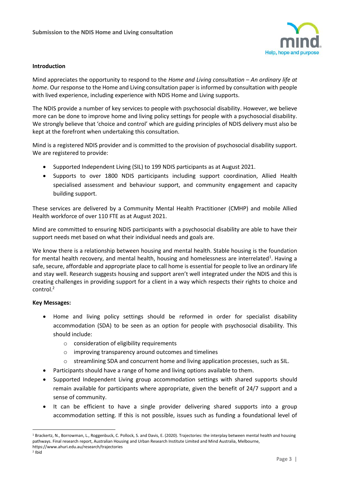

#### **Introduction**

Mind appreciates the opportunity to respond to the *Home and Living consultation – An ordinary life at home*. Our response to the Home and Living consultation paper is informed by consultation with people with lived experience, including experience with NDIS Home and Living supports.

The NDIS provide a number of key services to people with psychosocial disability. However, we believe more can be done to improve home and living policy settings for people with a psychosocial disability. We strongly believe that 'choice and control' which are guiding principles of NDIS delivery must also be kept at the forefront when undertaking this consultation.

Mind is a registered NDIS provider and is committed to the provision of psychosocial disability support. We are registered to provide:

- Supported Independent Living (SIL) to 199 NDIS participants as at August 2021.
- Supports to over 1800 NDIS participants including support coordination, Allied Health specialised assessment and behaviour support, and community engagement and capacity building support.

These services are delivered by a Community Mental Health Practitioner (CMHP) and mobile Allied Health workforce of over 110 FTE as at August 2021.

Mind are committed to ensuring NDIS participants with a psychosocial disability are able to have their support needs met based on what their individual needs and goals are.

We know there is a relationship between housing and mental health. Stable housing is the foundation for mental health recovery, and mental health, housing and homelessness are interrelated<sup>1</sup>. Having a safe, secure, affordable and appropriate place to call home is essential for people to live an ordinary life and stay well. Research suggests housing and support aren't well integrated under the NDIS and this is creating challenges in providing support for a client in a way which respects their rights to choice and control.<sup>2</sup>

#### **Key Messages:**

- Home and living policy settings should be reformed in order for specialist disability accommodation (SDA) to be seen as an option for people with psychosocial disability. This should include:
	- o consideration of eligibility requirements
	- o improving transparency around outcomes and timelines
	- o streamlining SDA and concurrent home and living application processes, such as SIL.
- Participants should have a range of home and living options available to them.
- Supported Independent Living group accommodation settings with shared supports should remain available for participants where appropriate, given the benefit of 24/7 support and a sense of community.
- It can be efficient to have a single provider delivering shared supports into a group accommodation setting. If this is not possible, issues such as funding a foundational level of

2 Ibid

 $\overline{a}$ 

<sup>&</sup>lt;sup>1</sup> Brackertz, N., Borrowman, L., Roggenbuck, C. Pollock, S. and Davis, E. (2020). Trajectories: the interplay between mental health and housing pathways. Final research report, Australian Housing and Urban Research Institute Limited and Mind Australia, Melbourne, https://www.ahuri.edu.au/research/trajectories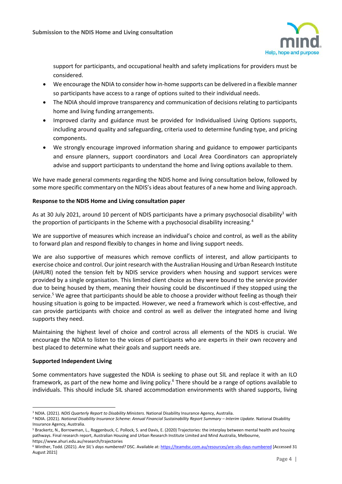

support for participants, and occupational health and safety implications for providers must be considered.

- We encourage the NDIA to consider how in-home supports can be delivered in a flexible manner so participants have access to a range of options suited to their individual needs.
- The NDIA should improve transparency and communication of decisions relating to participants home and living funding arrangements.
- Improved clarity and guidance must be provided for Individualised Living Options supports, including around quality and safeguarding, criteria used to determine funding type, and pricing components.
- We strongly encourage improved information sharing and guidance to empower participants and ensure planners, support coordinators and Local Area Coordinators can appropriately advise and support participants to understand the home and living options available to them.

We have made general comments regarding the NDIS home and living consultation below, followed by some more specific commentary on the NDIS's ideas about features of a new home and living approach.

### **Response to the NDIS Home and Living consultation paper**

As at 30 July 2021, around 10 percent of NDIS participants have a primary psychosocial disability<sup>3</sup> with the proportion of participants in the Scheme with a psychosocial disability increasing.<sup>4</sup>

We are supportive of measures which increase an individual's choice and control, as well as the ability to forward plan and respond flexibly to changes in home and living support needs.

We are also supportive of measures which remove conflicts of interest, and allow participants to exercise choice and control. Our joint research with the Australian Housing and Urban Research Institute (AHURI) noted the tension felt by NDIS service providers when housing and support services were provided by a single organisation. This limited client choice as they were bound to the service provider due to being housed by them, meaning their housing could be discontinued if they stopped using the service.<sup>5</sup> We agree that participants should be able to choose a provider without feeling as though their housing situation is going to be impacted. However, we need a framework which is cost-effective, and can provide participants with choice and control as well as deliver the integrated home and living supports they need.

Maintaining the highest level of choice and control across all elements of the NDIS is crucial. We encourage the NDIA to listen to the voices of participants who are experts in their own recovery and best placed to determine what their goals and support needs are.

#### **Supported Independent Living**

Some commentators have suggested the NDIA is seeking to phase out SIL and replace it with an ILO framework, as part of the new home and living policy.<sup>6</sup> There should be a range of options available to individuals. This should include SIL shared accommodation environments with shared supports, living

 $\overline{a}$ <sup>3</sup> NDIA. (2021). *NDIS Quarterly Report to Disability Ministers.* National Disability Insurance Agency, Australia.

<sup>4</sup> NDIA. (2021). *National Disability Insurance Scheme: Annual Financial Sustainability Report Summary - Interim Update. National Disability* Insurance Agency, Australia.

<sup>5</sup> Brackertz, N., Borrowman, L., Roggenbuck, C. Pollock, S. and Davis, E. (2020) Trajectories: the interplay between mental health and housing pathways. Final research report, Australian Housing and Urban Research Institute Limited and Mind Australia, Melbourne, https://www.ahuri.edu.au/research/trajectories

<sup>6</sup> Winther, Todd. (2021). *Are SIL's days numbered?* DSC. Available at:<https://teamdsc.com.au/resources/are-sils-days-numbered> [Accessed 31 August 2021]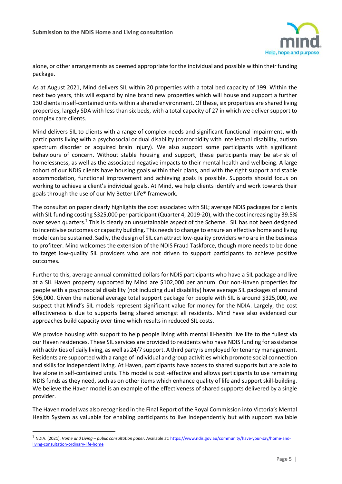

alone, or other arrangements as deemed appropriate for the individual and possible within their funding package.

As at August 2021, Mind delivers SIL within 20 properties with a total bed capacity of 199. Within the next two years, this will expand by nine brand new properties which will house and support a further 130 clients in self-contained units within a shared environment. Of these, six properties are shared living properties, largely SDA with less than six beds, with a total capacity of 27 in which we deliver support to complex care clients.

Mind delivers SIL to clients with a range of complex needs and significant functional impairment, with participants living with a psychosocial or dual disability (comorbidity with intellectual disability, autism spectrum disorder or acquired brain injury). We also support some participants with significant behaviours of concern. Without stable housing and support, these participants may be at-risk of homelessness, as well as the associated negative impacts to their mental health and wellbeing. A large cohort of our NDIS clients have housing goals within their plans, and with the right support and stable accommodation, functional improvement and achieving goals is possible. Supports should focus on working to achieve a client's individual goals. At Mind, we help clients identify and work towards their goals through the use of our My Better Life® framework.

The consultation paper clearly highlights the cost associated with SIL; average NDIS packages for clients with SIL funding costing \$325,000 per participant (Quarter 4, 2019-20), with the cost increasing by 39.5% over seven quarters.<sup>7</sup> This is clearly an unsustainable aspect of the Scheme. SIL has not been designed to incentivise outcomes or capacity building. This needs to change to ensure an effective home and living model can be sustained. Sadly, the design of SIL can attract low-quality providers who are in the business to profiteer. Mind welcomes the extension of the NDIS Fraud Taskforce, though more needs to be done to target low-quality SIL providers who are not driven to support participants to achieve positive outcomes.

Further to this, average annual committed dollars for NDIS participants who have a SIL package and live at a SIL Haven property supported by Mind are \$102,000 per annum. Our non-Haven properties for people with a psychosocial disability (not including dual disability) have average SIL packages of around \$96,000. Given the national average total support package for people with SIL is around \$325,000, we suspect that Mind's SIL models represent significant value for money for the NDIA. Largely, the cost effectiveness is due to supports being shared amongst all residents. Mind have also evidenced our approaches build capacity over time which results in reduced SIL costs.

We provide housing with support to help people living with mental ill-health live life to the fullest via our Haven residences. These SIL services are provided to residents who have NDIS funding for assistance with activities of daily living, as well as 24/7 support. A third party is employed for tenancy management. Residents are supported with a range of individual and group activities which promote social connection and skills for independent living. At Haven, participants have access to shared supports but are able to live alone in self-contained units. This model is cost -effective and allows participants to use remaining NDIS funds as they need, such as on other items which enhance quality of life and support skill-building. We believe the Haven model is an example of the effectiveness of shared supports delivered by a single provider.

The Haven model was also recognised in the Final Report of the Royal Commission into Victoria's Mental Health System as valuable for enabling participants to live independently but with support available

 $\overline{a}$ 

<sup>7</sup> NDIA. (2021). *Home and Living – public consultation paper*. Available at: [https://www.ndis.gov.au/community/have-your-say/home-and](https://www.ndis.gov.au/community/have-your-say/home-and-living-consultation-ordinary-life-home)[living-consultation-ordinary-life-home](https://www.ndis.gov.au/community/have-your-say/home-and-living-consultation-ordinary-life-home)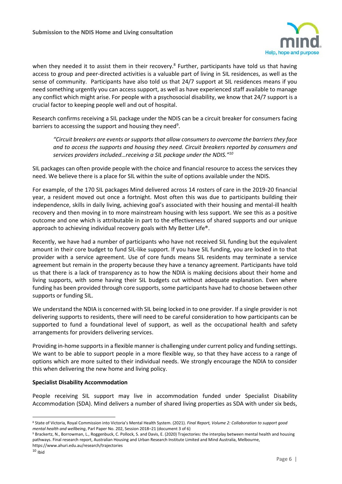

when they needed it to assist them in their recovery.<sup>8</sup> Further, participants have told us that having access to group and peer-directed activities is a valuable part of living in SIL residences, as well as the sense of community. Participants have also told us that 24/7 support at SIL residences means if you need something urgently you can access support, as well as have experienced staff available to manage any conflict which might arise. For people with a psychosocial disability, we know that 24/7 support is a crucial factor to keeping people well and out of hospital.

Research confirms receiving a SIL package under the NDIS can be a circuit breaker for consumers facing barriers to accessing the support and housing they need<sup>9</sup>.

*"Circuit breakers are events or supports that allow consumers to overcome the barriers they face and to access the supports and housing they need. Circuit breakers reported by consumers and services providers included…receiving a SIL package under the NDIS."<sup>10</sup>*

SIL packages can often provide people with the choice and financial resource to access the services they need. We believe there is a place for SIL within the suite of options available under the NDIS.

For example, of the 170 SIL packages Mind delivered across 14 rosters of care in the 2019-20 financial year, a resident moved out once a fortnight. Most often this was due to participants building their independence, skills in daily living, achieving goal's associated with their housing and mental-ill health recovery and then moving in to more mainstream housing with less support. We see this as a positive outcome and one which is attributable in part to the effectiveness of shared supports and our unique approach to achieving individual recovery goals with My Better Life®.

Recently, we have had a number of participants who have not received SIL funding but the equivalent amount in their core budget to fund SIL-like support. If you have SIL funding, you are locked in to that provider with a service agreement. Use of core funds means SIL residents may terminate a service agreement but remain in the property because they have a tenancy agreement. Participants have told us that there is a lack of transparency as to how the NDIA is making decisions about their home and living supports, with some having their SIL budgets cut without adequate explanation. Even where funding has been provided through core supports, some participants have had to choose between other supports or funding SIL.

We understand the NDIA is concerned with SIL being locked in to one provider. If a single provider is not delivering supports to residents, there will need to be careful consideration to how participants can be supported to fund a foundational level of support, as well as the occupational health and safety arrangements for providers delivering services.

Providing in-home supports in a flexible manner is challenging under current policy and funding settings. We want to be able to support people in a more flexible way, so that they have access to a range of options which are more suited to their individual needs. We strongly encourage the NDIA to consider this when delivering the new home and living policy.

#### **Specialist Disability Accommodation**

People receiving SIL support may live in accommodation funded under Specialist Disability Accommodation (SDA). Mind delivers a number of shared living properties as SDA with under six beds,

l <sup>8</sup> State of Victoria, Royal Commission into Victoria's Mental Health System. (2021). *Final Report, Volume 2: Collaboration to support good mental health and wellbeing*, Parl Paper No. 202, Session 2018–21 (document 3 of 6)

<sup>9</sup> Brackertz, N., Borrowman, L., Roggenbuck, C. Pollock, S. and Davis, E. (2020) Trajectories: the interplay between mental health and housing pathways. Final research report, Australian Housing and Urban Research Institute Limited and Mind Australia, Melbourne,

https://www.ahuri.edu.au/research/trajectories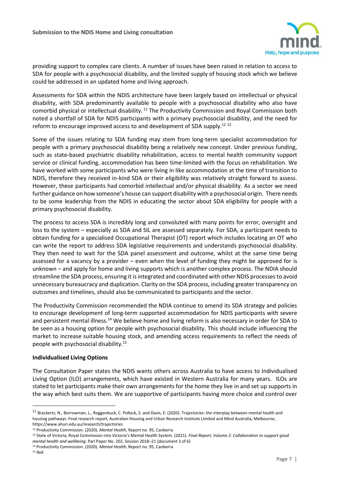

providing support to complex care clients. A number of issues have been raised in relation to access to SDA for people with a psychosocial disability, and the limited supply of housing stock which we believe could be addressed in an updated home and living approach.

Assessments for SDA within the NDIS architecture have been largely based on intellectual or physical disability, with SDA predominantly available to people with a psychosocial disability who also have comorbid physical or intellectual disability.<sup>11</sup> The Productivity Commission and Royal Commission both noted a shortfall of SDA for NDIS participants with a primary psychosocial disability, and the need for reform to encourage improved access to and development of SDA supply.<sup>12 13</sup>

Some of the issues relating to SDA funding may stem from long-term specialist accommodation for people with a primary psychosocial disability being a relatively new concept. Under previous funding, such as state-based psychiatric disability rehabilitation, access to mental health community support service or clinical funding, accommodation has been time-limited with the focus on rehabilitation. We have worked with some participants who were living in like accommodation at the time of transition to NDIS, therefore they received in-kind SDA or their eligibility was relatively straight forward to assess. However, these participants had comorbid intellectual and/or physical disability. As a sector we need further guidance on how someone's house can support disability with a psychosocial origin. There needs to be some leadership from the NDIS in educating the sector about SDA eligibility for people with a primary psychosocial disability.

The process to access SDA is incredibly long and convoluted with many points for error, oversight and loss to the system – especially as SDA and SIL are assessed separately. For SDA, a participant needs to obtain funding for a specialised Occupational Therapist (OT) report which includes locating an OT who can write the report to address SDA legislative requirements and understands psychosocial disability. They then need to wait for the SDA panel assessment and outcome, whilst at the same time being assessed for a vacancy by a provider – even when the level of funding they might be approved for is unknown – and apply for home and living supports which is another complex process. The NDIA should streamline the SDA process, ensuring it is integrated and coordinated with other NDIS processes to avoid unnecessary bureaucracy and duplication. Clarity on the SDA process, including greater transparency on outcomes and timelines, should also be communicated to participants and the sector.

The Productivity Commission recommended the NDIA continue to amend its SDA strategy and policies to encourage development of long-term supported accommodation for NDIS participants with severe and persistent mental illness.<sup>14</sup> We believe home and living reform is also necessary in order for SDA to be seen as a housing option for people with psychosocial disability. This should include influencing the market to increase suitable housing stock, and amending access requirements to reflect the needs of people with psychosocial disability.<sup>15</sup>

#### **Individualised Living Options**

The Consultation Paper states the NDIS wants others across Australia to have access to Individualised Living Option (ILO) arrangements, which have existed in Western Australia for many years. ILOs are stated to let participants make their own arrangements for the home they live in and set up supports in the way which best suits them. We are supportive of participants having more choice and control over

 $\overline{a}$ 

<sup>&</sup>lt;sup>11</sup> Brackertz, N., Borrowman, L., Roggenbuck, C. Pollock, S. and Davis, E. (2020). Trajectories: the interplay between mental health and housing pathways. Final research report, Australian Housing and Urban Research Institute Limited and Mind Australia, Melbourne, https://www.ahuri.edu.au/research/trajectories

<sup>12</sup> Productivity Commission. (2020). *Mental Health*, Report no. 95, Canberra

<sup>13</sup> State of Victoria, Royal Commission into Victoria's Mental Health System. (2021). *Final Report, Volume 2: Collaboration to support good mental health and wellbeing*, Parl Paper No. 202, Session 2018–21 (document 3 of 6)

<sup>14</sup> Productivity Commission. (2020). *Mental Health*, Report no. 95, Canberra

 $15$  Ihid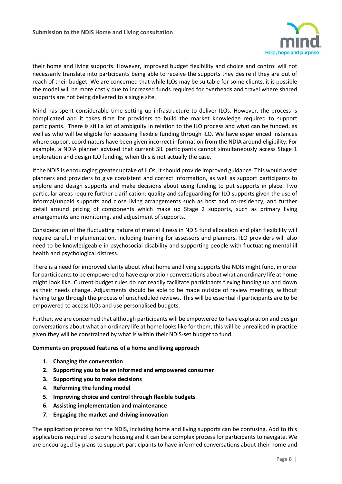

their home and living supports. However, improved budget flexibility and choice and control will not necessarily translate into participants being able to receive the supports they desire if they are out of reach of their budget. We are concerned that while ILOs may be suitable for some clients, it is possible the model will be more costly due to increased funds required for overheads and travel where shared supports are not being delivered to a single site.

Mind has spent considerable time setting up infrastructure to deliver ILOs. However, the process is complicated and it takes time for providers to build the market knowledge required to support participants. There is still a lot of ambiguity in relation to the ILO process and what can be funded, as well as who will be eligible for accessing flexible funding through ILO. We have experienced instances where support coordinators have been given incorrect information from the NDIA around eligibility. For example, a NDIA planner advised that current SIL participants cannot simultaneously access Stage 1 exploration and design ILO funding, when this is not actually the case.

If the NDIS is encouraging greater uptake of ILOs, it should provide improved guidance. This would assist planners and providers to give consistent and correct information, as well as support participants to explore and design supports and make decisions about using funding to put supports in place. Two particular areas require further clarification: quality and safeguarding for ILO supports given the use of informal/unpaid supports and close living arrangements such as host and co-residency, and further detail around pricing of components which make up Stage 2 supports, such as primary living arrangements and monitoring, and adjustment of supports.

Consideration of the fluctuating nature of mental illness in NDIS fund allocation and plan flexibility will require careful implementation, including training for assessors and planners. ILO providers will also need to be knowledgeable in psychosocial disability and supporting people with fluctuating mental ill health and psychological distress.

There is a need for improved clarity about what home and living supports the NDIS might fund, in order for participants to be empowered to have exploration conversations about what an ordinary life at home might look like. Current budget rules do not readily facilitate participants flexing funding up and down as their needs change. Adjustments should be able to be made outside of review meetings, without having to go through the process of unscheduled reviews. This will be essential if participants are to be empowered to access ILOs and use personalised budgets.

Further, we are concerned that although participants will be empowered to have exploration and design conversations about what an ordinary life at home looks like for them, this will be unrealised in practice given they will be constrained by what is within their NDIS-set budget to fund.

#### **Comments on proposed features of a home and living approach**

- **1. Changing the conversation**
- **2. Supporting you to be an informed and empowered consumer**
- **3. Supporting you to make decisions**
- **4. Reforming the funding model**
- **5. Improving choice and control through flexible budgets**
- **6. Assisting implementation and maintenance**
- **7. Engaging the market and driving innovation**

The application process for the NDIS, including home and living supports can be confusing. Add to this applications required to secure housing and it can be a complex process for participants to navigate. We are encouraged by plans to support participants to have informed conversations about their home and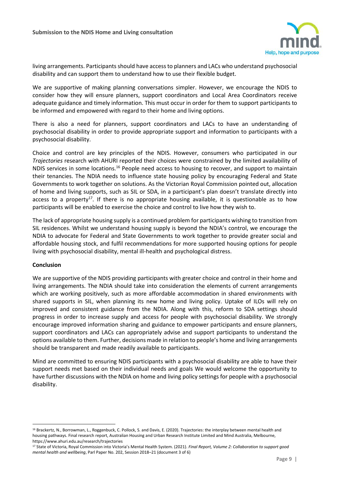

living arrangements. Participants should have access to planners and LACs who understand psychosocial disability and can support them to understand how to use their flexible budget.

We are supportive of making planning conversations simpler. However, we encourage the NDIS to consider how they will ensure planners, support coordinators and Local Area Coordinators receive adequate guidance and timely information. This must occur in order for them to support participants to be informed and empowered with regard to their home and living options.

There is also a need for planners, support coordinators and LACs to have an understanding of psychosocial disability in order to provide appropriate support and information to participants with a psychosocial disability.

Choice and control are key principles of the NDIS. However, consumers who participated in our *Trajectories* research with AHURI reported their choices were constrained by the limited availability of NDIS services in some locations.<sup>16</sup> People need access to housing to recover, and support to maintain their tenancies. The NDIA needs to influence state housing policy by encouraging Federal and State Governments to work together on solutions. As the Victorian Royal Commission pointed out, allocation of home and living supports, such as SIL or SDA, in a participant's plan doesn't translate directly into access to a property<sup>17</sup>. If there is no appropriate housing available, it is questionable as to how participants will be enabled to exercise the choice and control to live how they wish to.

The lack of appropriate housing supply is a continued problem for participants wishing to transition from SIL residences. Whilst we understand housing supply is beyond the NDIA's control, we encourage the NDIA to advocate for Federal and State Governments to work together to provide greater social and affordable housing stock, and fulfil recommendations for more supported housing options for people living with psychosocial disability, mental ill-health and psychological distress.

#### **Conclusion**

 $\overline{a}$ 

We are supportive of the NDIS providing participants with greater choice and control in their home and living arrangements. The NDIA should take into consideration the elements of current arrangements which are working positively, such as more affordable accommodation in shared environments with shared supports in SIL, when planning its new home and living policy. Uptake of ILOs will rely on improved and consistent guidance from the NDIA. Along with this, reform to SDA settings should progress in order to increase supply and access for people with psychosocial disability. We strongly encourage improved information sharing and guidance to empower participants and ensure planners, support coordinators and LACs can appropriately advise and support participants to understand the options available to them. Further, decisions made in relation to people's home and living arrangements should be transparent and made readily available to participants.

Mind are committed to ensuring NDIS participants with a psychosocial disability are able to have their support needs met based on their individual needs and goals We would welcome the opportunity to have further discussions with the NDIA on home and living policy settings for people with a psychosocial disability.

<sup>&</sup>lt;sup>16</sup> Brackertz, N., Borrowman, L., Roggenbuck, C. Pollock, S. and Davis, E. (2020). Trajectories: the interplay between mental health and housing pathways. Final research report, Australian Housing and Urban Research Institute Limited and Mind Australia, Melbourne, https://www.ahuri.edu.au/research/trajectories

<sup>17</sup> State of Victoria, Royal Commission into Victoria's Mental Health System. (2021). *Final Report, Volume 2: Collaboration to support good mental health and wellbeing*, Parl Paper No. 202, Session 2018–21 (document 3 of 6)